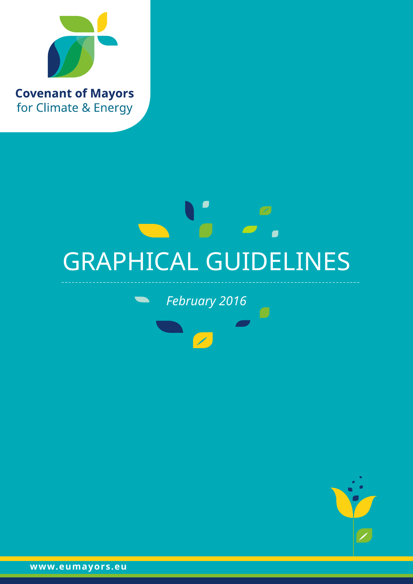

# $\mathbb Z$  $\overline{\phantom{a}}$ GRAPHICAL GUIDELINES

*February 2016*



**www.eumayors.eu**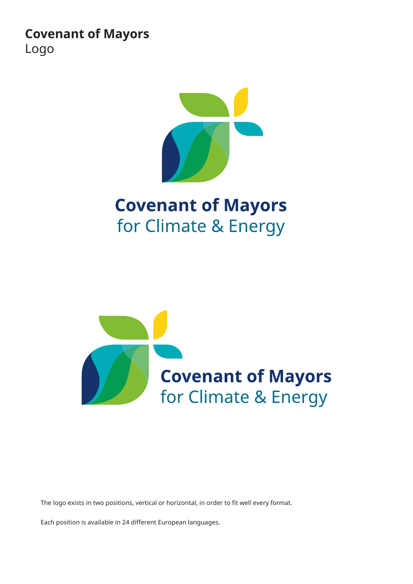**Covenant of Mayors** Logo



# **Covenant of Mayors** for Climate & Energy



The logo exists in two positions, vertical or horizontal, in order to fit well every format.

Each position is available in 24 different European languages.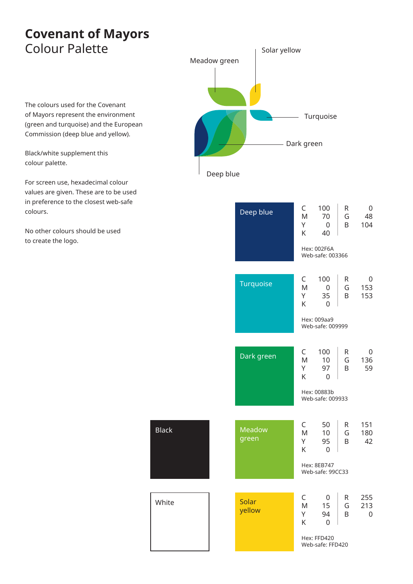## **Covenant of Mayors** Colour Palette

The colours used for the Covenant of Mayors represent the environment (green and turquoise) and the European Commission (deep blue and yellow).

Black/white supplement this colour palette.

For screen use, hexadecimal colour values are given. These are to be used in preference to the closest web-safe colours.

No other colours should be used to create the logo.

Deep blue Meadow green Turquoise Dark green Solar yellow

| Deep blue        | C<br>M<br>Υ<br>Κ            | 100<br>70<br>$\mathbf{0}$<br>40<br>Hex: 002F6A<br>Web-safe: 003366 | R<br>G<br>B  | 0<br>48<br>104               |
|------------------|-----------------------------|--------------------------------------------------------------------|--------------|------------------------------|
| <b>Turquoise</b> | C<br>M<br>Υ<br>Κ            | 100<br>$\mathbf 0$<br>35<br>0<br>Hex: 009aa9<br>Web-safe: 009999   | R<br>G<br>B  | 0<br>153<br>153              |
| Dark green       | C<br>M<br>Υ<br>K            | 100<br>10<br>97<br>$\mathbf 0$<br>Hex: 00883b<br>Web-safe: 009933  | R<br>G<br>B  | 0<br>136<br>59               |
| Meadow<br>green  | $\mathsf{C}$<br>M<br>Y<br>K | 50<br>10<br>95<br>$\Omega$<br>Hex: 8EB747<br>Web-safe: 99CC33      | R.<br>G<br>B | 151<br>180<br>42             |
| Solar<br>yellow  | C<br>M<br>Y<br>K            | 0<br>15<br>94<br>0<br>Hex: FFD420<br>Web-safe: FFD420              | R<br>G<br>B  | 255<br>213<br>$\overline{0}$ |

Black

White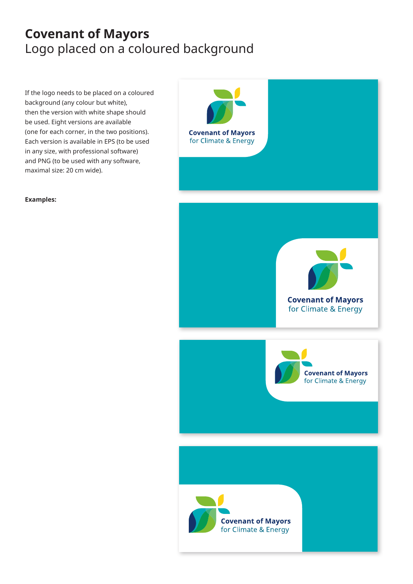# **Covenant of Mayors** Logo placed on a coloured background

If the logo needs to be placed on a coloured background (any colour but white), then the version with white shape should be used. Eight versions are available (one for each corner, in the two positions). Each version is available in EPS (to be used in any size, with professional software) and PNG (to be used with any software, maximal size: 20 cm wide).



**Examples:**



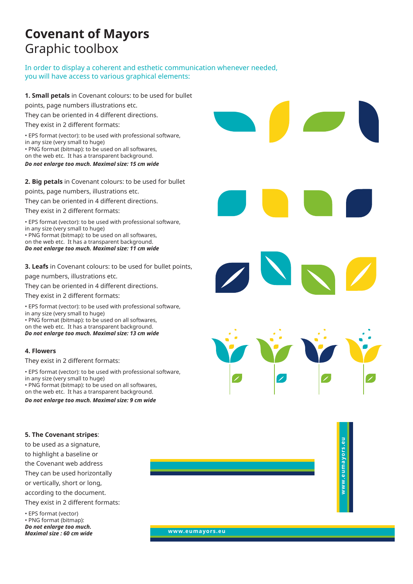# **Covenant of Mayors** Graphic toolbox

In order to display a coherent and esthetic communication whenever needed, you will have access to various graphical elements:

**1. Small petals** in Covenant colours: to be used for bullet

points, page numbers illustrations etc.

They can be oriented in 4 different directions.

They exist in 2 different formats:

• EPS format (vector): to be used with professional software, in any size (very small to huge) • PNG format (bitmap): to be used on all softwares, on the web etc. It has a transparent background.

*Do not enlarge too much. Maximal size: 15 cm wide*

#### **2. Big petals** in Covenant colours: to be used for bullet

points, page numbers, illustrations etc.

They can be oriented in 4 different directions.

They exist in 2 different formats:

• EPS format (vector): to be used with professional software, in any size (very small to huge) • PNG format (bitmap): to be used on all softwares,

on the web etc. It has a transparent background. *Do not enlarge too much. Maximal size: 11 cm wide*

**3. Leafs** in Covenant colours: to be used for bullet points, page numbers, illustrations etc.

They can be oriented in 4 different directions.

They exist in 2 different formats:

• EPS format (vector): to be used with professional software, in any size (very small to huge) • PNG format (bitmap): to be used on all softwares,

on the web etc. It has a transparent background. *Do not enlarge too much. Maximal size: 13 cm wide*

#### **4. Flowers**

They exist in 2 different formats:

• EPS format (vector): to be used with professional software, in any size (very small to huge) • PNG format (bitmap): to be used on all softwares, on the web etc. It has a transparent background. *Do not enlarge too much. Maximal size: 9 cm wide*

**5. The Covenant stripes**:

to be used as a signature, to highlight a baseline or the Covenant web address They can be used horizontally or vertically, short or long, according to the document.

They exist in 2 different formats:

• EPS format (vector) • PNG format (bitmap): *Do not enlarge too much. Maximal size : 60 cm wide* **www.eumayors.eu**

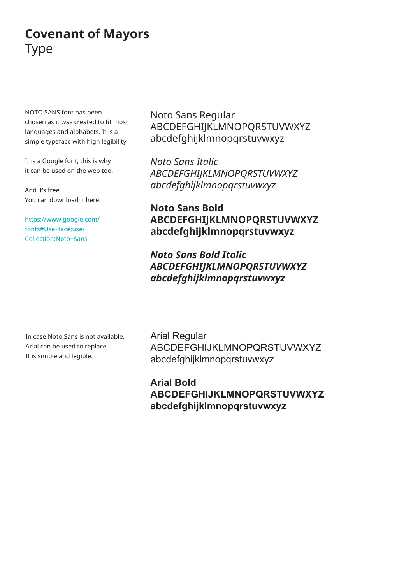# **Covenant of Mayors** Type

NOTO SANS font has been chosen as it was created to fit most languages and alphabets. It is a simple typeface with high legibility.

It is a Google font, this is why it can be used on the web too.

And it's free ! You can download it here:

[https://www.google.com/](https://www.google.com/fonts#UsePlace:use/Collection:Noto+Sans) [fonts#UsePlace:use/](https://www.google.com/fonts#UsePlace:use/Collection:Noto+Sans) [Collection:Noto+Sans](https://www.google.com/fonts#UsePlace:use/Collection:Noto+Sans)

Noto Sans Regular ABCDEFGHIJKLMNOPQRSTUVWXYZ abcdefghijklmnopqrstuvwxyz

*Noto Sans Italic ABCDEFGHIJKLMNOPQRSTUVWXYZ abcdefghijklmnopqrstuvwxyz*

**Noto Sans Bold ABCDEFGHIJKLMNOPQRSTUVWXYZ abcdefghijklmnopqrstuvwxyz**

*Noto Sans Bold Italic ABCDEFGHIJKLMNOPQRSTUVWXYZ abcdefghijklmnopqrstuvwxyz*

In case Noto Sans is not available, Arial can be used to replace. It is simple and legible.

Arial Regular ABCDEFGHIJKLMNOPQRSTUVWXYZ abcdefghijklmnopqrstuvwxyz

**Arial Bold ABCDEFGHIJKLMNOPQRSTUVWXYZ abcdefghijklmnopqrstuvwxyz**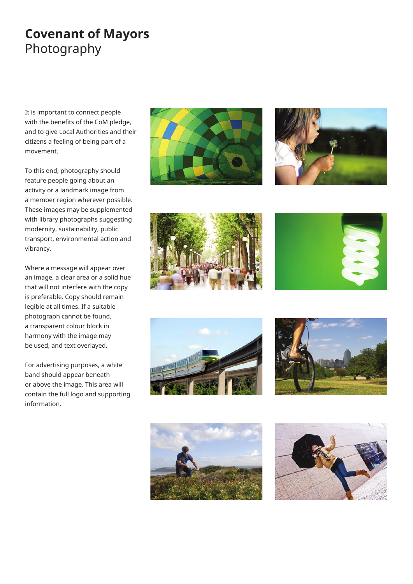# **Covenant of Mayors** Photography

It is important to connect people with the benefits of the CoM pledge, and to give Local Authorities and their citizens a feeling of being part of a movement.

To this end, photography should feature people going about an activity or a landmark image from a member region wherever possible. These images may be supplemented with library photographs suggesting modernity, sustainability, public transport, environmental action and vibrancy.

Where a message will appear over an image, a clear area or a solid hue that will not interfere with the copy is preferable. Copy should remain legible at all times. If a suitable photograph cannot be found, a transparent colour block in harmony with the image may be used, and text overlayed.

For advertising purposes, a white band should appear beneath or above the image. This area will contain the full logo and supporting information.















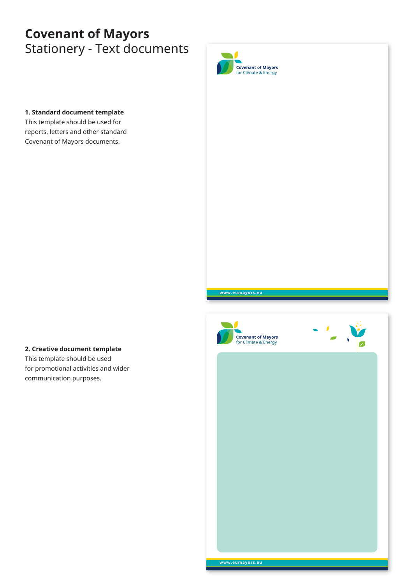# **Covenant of Mayors** Stationery - Text documents



#### **1. Standard document template**

This template should be used for reports, letters and other standard Covenant of Mayors documents.

### **2. Creative document template**

This template should be used for promotional activities and wider communication purposes.



**www.eumayors.eu**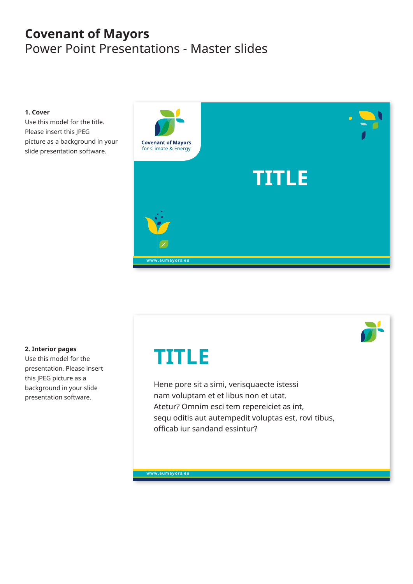# **Covenant of Mayors** Power Point Presentations - Master slides

#### **1. Cover**

Use this model for the title. Please insert this JPEG picture as a background in your slide presentation software.



#### **2. Interior pages**

Use this model for the presentation. Please insert this JPEG picture as a background in your slide presentation software.

# **TITLE**

Hene pore sit a simi, verisquaecte istessi nam voluptam et et libus non et utat. Atetur? Omnim esci tem repereiciet as int, sequ oditis aut autempedit voluptas est, rovi tibus, officab iur sandand essintur?

**www.eumayors.eu**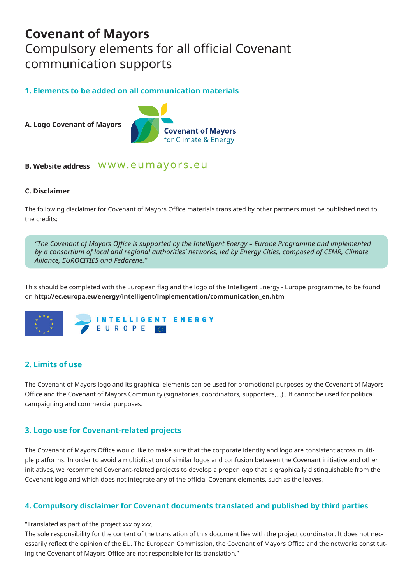## **Covenant of Mayors** Compulsory elements for all official Covenant communication supports

### **1. Elements to be added on all communication materials**

**A. Logo Covenant of Mayors**



### **B. Website address**

#### **C. Disclaimer**

The following disclaimer for Covenant of Mayors Office materials translated by other partners must be published next to the credits:

*"The Covenant of Mayors Office is supported by the Intelligent Energy – Europe Programme and implemented by a consortium of local and regional authorities' networks, led by Energy Cities, composed of CEMR, Climate Alliance, EUROCITIES and Fedarene."*

This should be completed with the European flag and the logo of the Intelligent Energy - Europe programme, to be found on **http://ec.europa.eu/energy/intelligent/implementation/communication\_en.htm** 



### **2. Limits of use**

The Covenant of Mayors logo and its graphical elements can be used for promotional purposes by the Covenant of Mayors Office and the Covenant of Mayors Community (signatories, coordinators, supporters,...).. It cannot be used for political campaigning and commercial purposes.

### **3. Logo use for Covenant-related projects**

The Covenant of Mayors Office would like to make sure that the corporate identity and logo are consistent across multiple platforms. In order to avoid a multiplication of similar logos and confusion between the Covenant initiative and other initiatives, we recommend Covenant-related projects to develop a proper logo that is graphically distinguishable from the Covenant logo and which does not integrate any of the official Covenant elements, such as the leaves.

### **4. Compulsory disclaimer for Covenant documents translated and published by third parties**

#### "Translated as part of the project *xxx* by *xxx*.

The sole responsibility for the content of the translation of this document lies with the project coordinator. It does not necessarily reflect the opinion of the EU. The European Commission, the Covenant of Mayors Office and the networks constituting the Covenant of Mayors Office are not responsible for its translation."